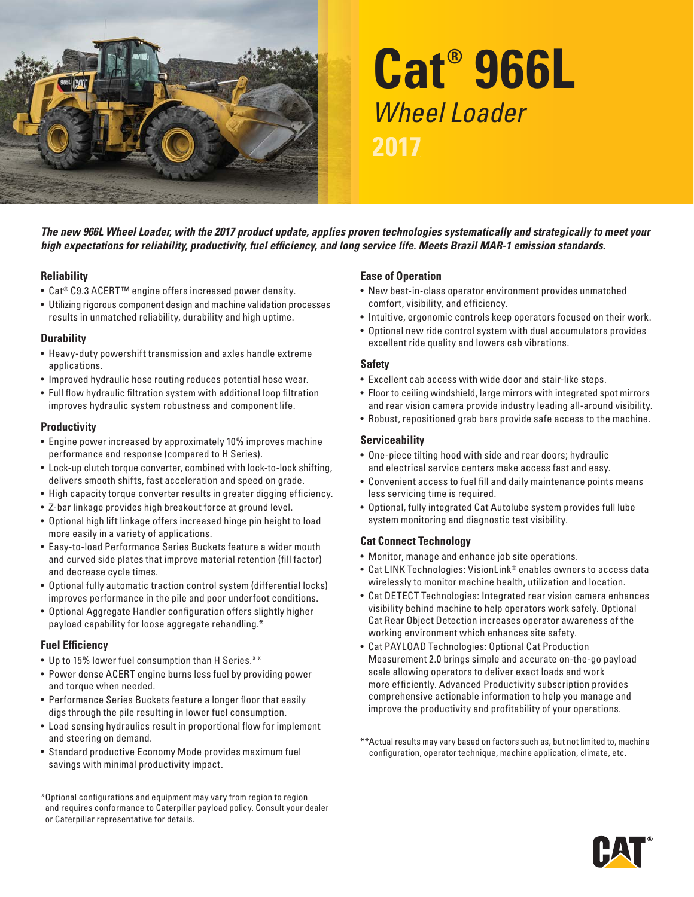

# **Cat® 966L**  Wheel Loader **2017**

*The new 966L Wheel Loader, with the 2017 product update, applies proven technologies systematically and strategically to meet your high expectations for reliability, productivity, fuel efficiency, and long service life. Meets Brazil MAR-1 emission standards.* 

#### **Reliability**

- Cat® C9.3 ACERT™ engine offers increased power density.
- Utilizing rigorous component design and machine validation processes results in unmatched reliability, durability and high uptime.

#### **Durability**

- Heavy-duty powershift transmission and axles handle extreme applications.
- Improved hydraulic hose routing reduces potential hose wear.
- • Full flow hydraulic filtration system with additional loop filtration improves hydraulic system robustness and component life.

#### **Productivity**

- Engine power increased by approximately 10% improves machine per formance and response (compared to H Series).
- Lock-up clutch torque converter, combined with lock-to-lock shifting, delivers smooth shifts, fast acceleration and speed on grade.
- High capacity torque converter results in greater digging efficiency.
- Z-bar linkage provides high breakout force at ground level.
- Optional high lift linkage offers increased hinge pin height to load more easily in a variety of applications.
- Easy-to-load Performance Series Buckets feature a wider mouth and curved side plates that improve material retention (fill factor) and decrease cycle times.
- Optional fully automatic traction control system (differential locks) improves performance in the pile and poor underfoot conditions.
- Optional Aggregate Handler configuration of fers slightly higher payload capability for loose aggregate rehandling.\*

#### **Fuel Efficiency**

- Up to 15% lower fuel consumption than H Series.\*\*
- Power dense ACERT engine burns less fuel by providing power and torque when needed.
- Performance Series Buckets feature a longer floor that easily digs through the pile resulting in lower fuel consumption.
- Load sensing hydraulics result in proportional flow for implement and steering on demand.
- Standard productive Economy Mode provides maximum fuel savings with minimal productivity impact.

\*Optional configurations and equipment may vary from region to region and requires conformance to Caterpillar payload policy. Consult your dealer or Caterpillar representative for details.

#### **Ease of Operation**

- New best-in-class operator environment provides unmatched comfort, visibility, and efficiency.
- Intuitive, ergonomic controls keep operators focused on their work.
- Optional new ride control system with dual accumulators provides excellent ride quality and lowers cab vibrations.

#### **Safety**

- E xcellent cab access with wide door and stair-like steps.
- Floor to ceiling windshield, large mirrors with integrated spot mirrors and rear vision camera provide industry leading all-around visibility.
- Robust, repositioned grab bars provide safe access to the machine.

### **Serviceability**

- One-piece tilting hood with side and rear doors; hydraulic and electrical service centers make access fast and easy.
- Convenient access to fuel fill and daily maintenance points means less ser vicing time is required.
- Optional, fully integrated Cat Autolube system provides full lube system monitoring and diagnostic test visibility.

#### **Cat Connect Technology**

- Monitor, manage and enhance job site operations.
- Cat LINK Technologies: VisionLink<sup>®</sup> enables owners to access data wirelessly to monitor machine health, utilization and location.
- Cat DETECT Technologies: Integrated rear vision camera enhances visibility behind machine to help operators work safely. Optional Cat Rear Object Detection increases operator awareness of the working environment which enhances site safety.
- Cat PAYLOAD Technologies: Optional Cat Production Measurement 2.0 brings simple and accurate on-the-go payload scale allowing operators to deliver exact loads and work more efficiently. Advanced Productivity subscription provides comprehensive actionable information to help you manage and improve the productivity and profitability of your operations.
- \*\* Actual results may vary based on factors such as, but not limited to, machine configuration, operator technique, machine application, climate, etc.